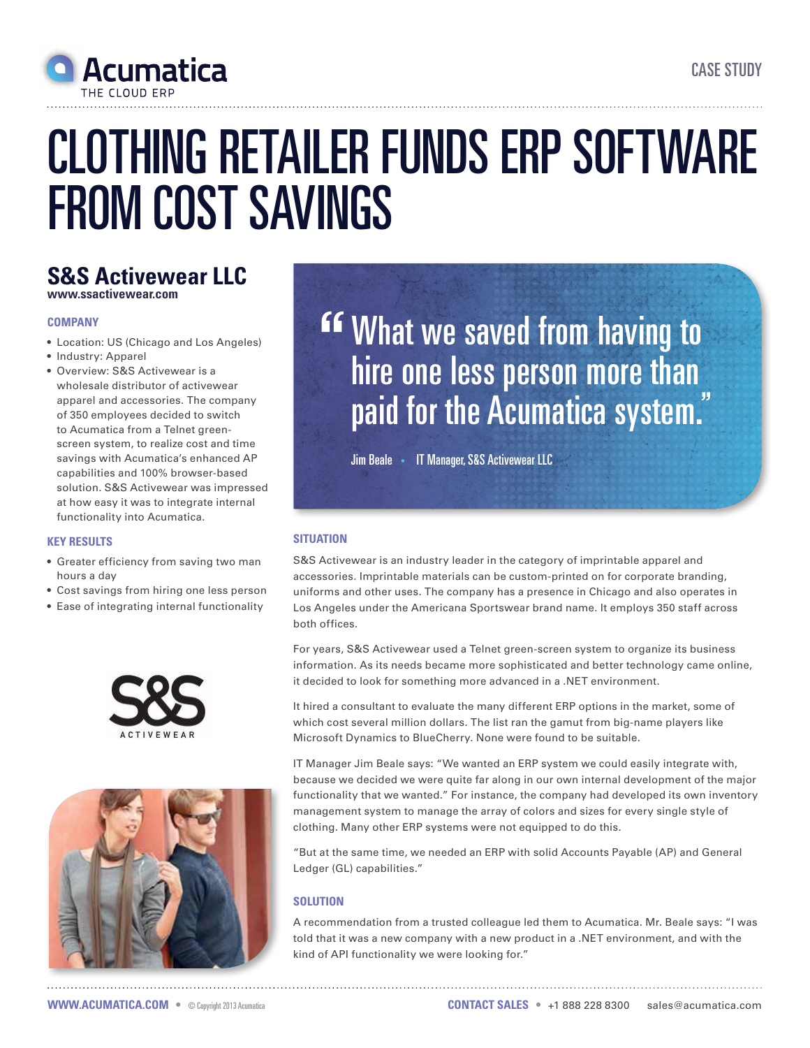

# Clothing retailer funds ERP software from cost savings

## **S&S Activewear LLC www.ssactivewear.com**

### **Company**

- • Location: US (Chicago and Los Angeles)
- Industry: Apparel
- • Overview: S&S Activewear is a wholesale distributor of activewear apparel and accessories. The company of 350 employees decided to switch to Acumatica from a Telnet greenscreen system, to realize cost and time savings with Acumatica's enhanced AP capabilities and 100% browser-based solution. S&S Activewear was impressed at how easy it was to integrate internal functionality into Acumatica.

#### **Key Results**

- • Greater efficiency from saving two man hours a day
- Cost savings from hiring one less person
- Ease of integrating internal functionality





**EF What we saved from having to** hire one less person more than paid for the Acumatica system.

Jim Beale • IT Manager, S&S Activewear LLC

### **Situation**

S&S Activewear is an industry leader in the category of imprintable apparel and accessories. Imprintable materials can be custom-printed on for corporate branding, uniforms and other uses. The company has a presence in Chicago and also operates in Los Angeles under the Americana Sportswear brand name. It employs 350 staff across both offices.

For years, S&S Activewear used a Telnet green-screen system to organize its business information. As its needs became more sophisticated and better technology came online, it decided to look for something more advanced in a .NET environment.

It hired a consultant to evaluate the many different ERP options in the market, some of which cost several million dollars. The list ran the gamut from big-name players like Microsoft Dynamics to BlueCherry. None were found to be suitable.

IT Manager Jim Beale says: "We wanted an ERP system we could easily integrate with, because we decided we were quite far along in our own internal development of the major functionality that we wanted." For instance, the company had developed its own inventory management system to manage the array of colors and sizes for every single style of clothing. Many other ERP systems were not equipped to do this.

"But at the same time, we needed an ERP with solid Accounts Payable (AP) and General Ledger (GL) capabilities."

### **Solution**

A recommendation from a trusted colleague led them to Acumatica. Mr. Beale says: "I was told that it was a new company with a new product in a .NET environment, and with the kind of API functionality we were looking for."